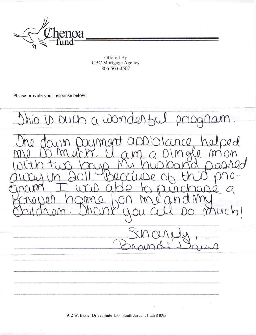

Offered By CBC Mortgage Agency 866-563-3507

Please provide your response below:



912 W. Baxter Drive, Suite 150 | South Jordan, Utah 84095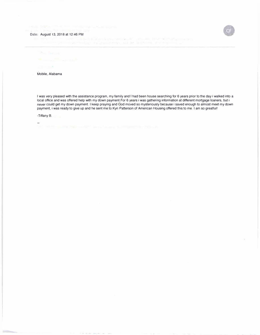



with the Political

Mobile, Alabama

I was very pleased with the assistance program, my family and I had been house searching for 6 years prior to the day i walked into a local office and was offered help with my down payment.For 6 years i was gathering information at different mortgage loaners, but i never could get my down payment. I keep praying and God moved so mysteriously because i saved enough to almost meet my down payment, i was ready to give up and he sent me to Kyri Patterson of American Housing offered this to me. I am so greatful!

-Tiffany B.

÷.